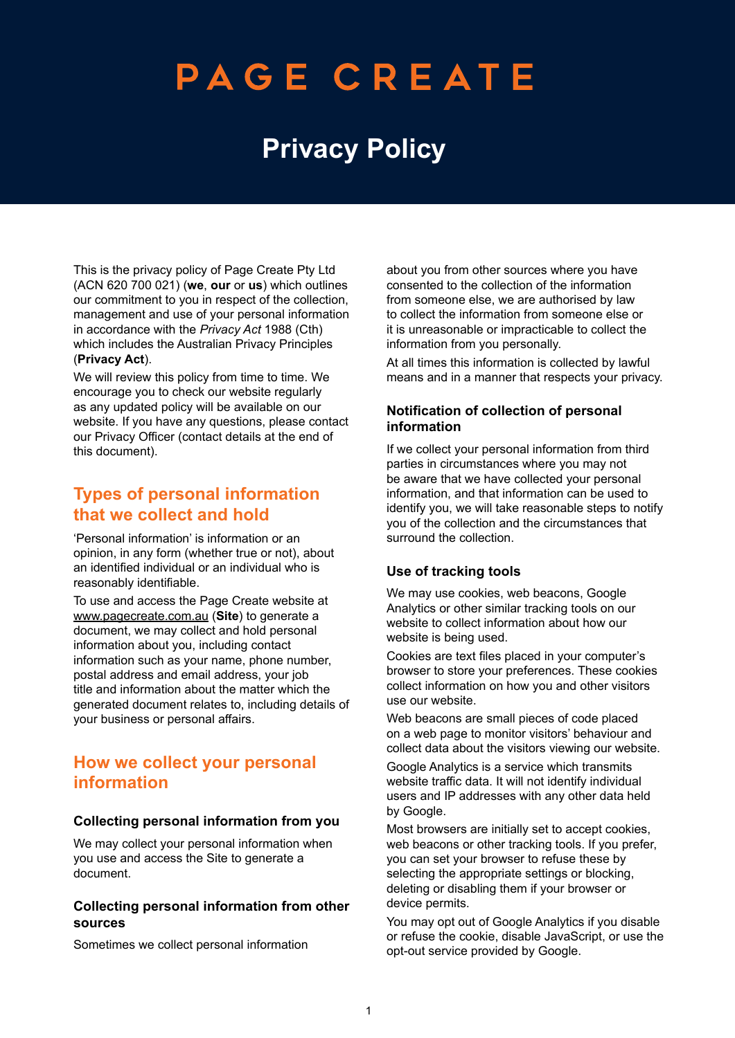# PAGE CREATE

## **Privacy Policy**

This is the privacy policy of Page Create Pty Ltd (ACN 620 700 021) (**we**, **our** or **us**) which outlines our commitment to you in respect of the collection, management and use of your personal information in accordance with the *Privacy Act* 1988 (Cth) which includes the Australian Privacy Principles (**Privacy Act**).

We will review this policy from time to time. We encourage you to check our website regularly as any updated policy will be available on our website. If you have any questions, please contact our Privacy Officer (contact details at the end of this document).

### **Types of personal information that we collect and hold**

'Personal information' is information or an opinion, in any form (whether true or not), about an identified individual or an individual who is reasonably identifiable.

To use and access the Page Create website at [www.pagecreate.com.au](http://www.pagecreate.com.au) (**Site**) to generate a document, we may collect and hold personal information about you, including contact information such as your name, phone number, postal address and email address, your job title and information about the matter which the generated document relates to, including details of your business or personal affairs.

### **How we collect your personal information**

#### **Collecting personal information from you**

We may collect your personal information when you use and access the Site to generate a document.

#### **Collecting personal information from other sources**

Sometimes we collect personal information

about you from other sources where you have consented to the collection of the information from someone else, we are authorised by law to collect the information from someone else or it is unreasonable or impracticable to collect the information from you personally.

At all times this information is collected by lawful means and in a manner that respects your privacy.

### **Notification of collection of personal information**

If we collect your personal information from third parties in circumstances where you may not be aware that we have collected your personal information, and that information can be used to identify you, we will take reasonable steps to notify you of the collection and the circumstances that surround the collection.

### **Use of tracking tools**

We may use cookies, web beacons, Google Analytics or other similar tracking tools on our website to collect information about how our website is being used.

Cookies are text files placed in your computer's browser to store your preferences. These cookies collect information on how you and other visitors use our website.

Web beacons are small pieces of code placed on a web page to monitor visitors' behaviour and collect data about the visitors viewing our website.

Google Analytics is a service which transmits website traffic data. It will not identify individual users and IP addresses with any other data held by Google.

Most browsers are initially set to accept cookies, web beacons or other tracking tools. If you prefer, you can set your browser to refuse these by selecting the appropriate settings or blocking, deleting or disabling them if your browser or device permits.

You may opt out of Google Analytics if you disable or refuse the cookie, disable JavaScript, or use the opt-out service provided by Google.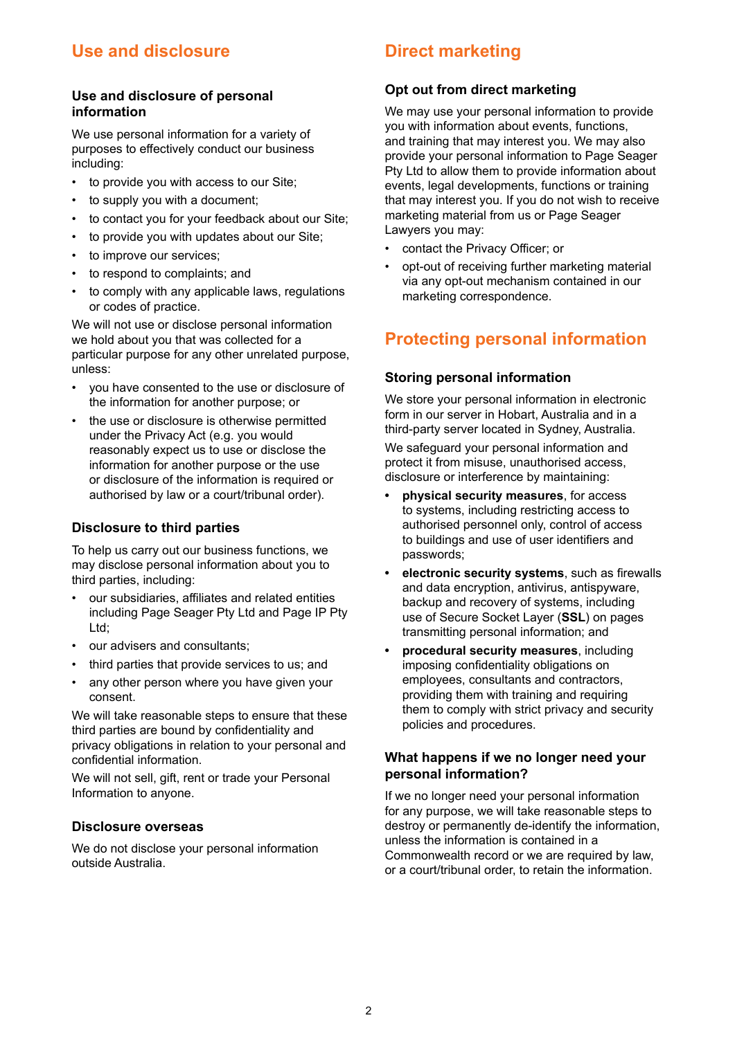### **Use and disclosure**

#### **Use and disclosure of personal information**

We use personal information for a variety of purposes to effectively conduct our business including:

- to provide you with access to our Site;
- to supply you with a document:
- to contact you for your feedback about our Site;
- to provide you with updates about our Site;
- to improve our services;
- to respond to complaints; and
- to comply with any applicable laws, regulations or codes of practice.

We will not use or disclose personal information we hold about you that was collected for a particular purpose for any other unrelated purpose, unless:

- you have consented to the use or disclosure of the information for another purpose; or
- the use or disclosure is otherwise permitted under the Privacy Act (e.g. you would reasonably expect us to use or disclose the information for another purpose or the use or disclosure of the information is required or authorised by law or a court/tribunal order).

### **Disclosure to third parties**

To help us carry out our business functions, we may disclose personal information about you to third parties, including:

- our subsidiaries, affiliates and related entities including Page Seager Pty Ltd and Page IP Pty Ltd;
- our advisers and consultants;
- third parties that provide services to us; and
- any other person where you have given your consent.

We will take reasonable steps to ensure that these third parties are bound by confidentiality and privacy obligations in relation to your personal and confidential information.

We will not sell, gift, rent or trade your Personal Information to anyone.

### **Disclosure overseas**

We do not disclose your personal information outside Australia.

### **Direct marketing**

### **Opt out from direct marketing**

We may use your personal information to provide you with information about events, functions, and training that may interest you. We may also provide your personal information to Page Seager Pty Ltd to allow them to provide information about events, legal developments, functions or training that may interest you. If you do not wish to receive marketing material from us or Page Seager Lawyers you may:

- contact the Privacy Officer; or
- opt-out of receiving further marketing material via any opt-out mechanism contained in our marketing correspondence.

### **Protecting personal information**

### **Storing personal information**

We store your personal information in electronic form in our server in Hobart, Australia and in a third-party server located in Sydney, Australia.

We safeguard your personal information and protect it from misuse, unauthorised access, disclosure or interference by maintaining:

- **• physical security measures**, for access to systems, including restricting access to authorised personnel only, control of access to buildings and use of user identifiers and passwords;
- **• electronic security systems**, such as firewalls and data encryption, antivirus, antispyware, backup and recovery of systems, including use of Secure Socket Layer (**SSL**) on pages transmitting personal information; and
- **• procedural security measures**, including imposing confidentiality obligations on employees, consultants and contractors, providing them with training and requiring them to comply with strict privacy and security policies and procedures.

#### **What happens if we no longer need your personal information?**

If we no longer need your personal information for any purpose, we will take reasonable steps to destroy or permanently de-identify the information, unless the information is contained in a Commonwealth record or we are required by law, or a court/tribunal order, to retain the information.